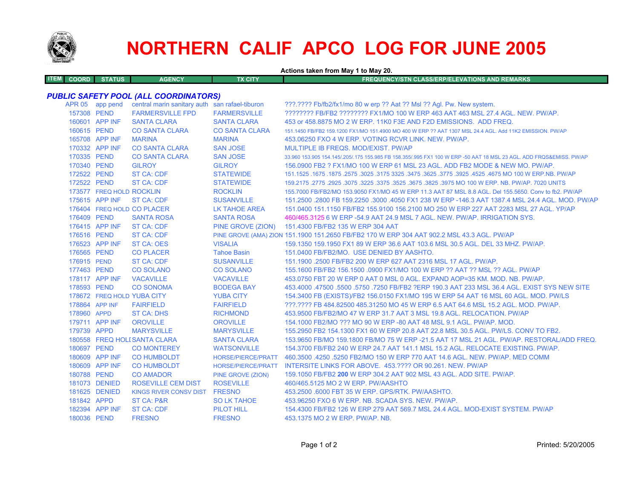

# **NORTHERN CALIF APCO LOG FOR JUNE 2005**

**Actions taken from May 1 to May 20.**

| <b>ITEM COORD STATUS</b><br><b>AGENCY</b> | TX CITY | FREQUENCY/STN CLASS/ERP/ELEVATIONS AND REMARKS \ |
|-------------------------------------------|---------|--------------------------------------------------|
|                                           |         |                                                  |

### *PUBLIC SAFETY POOL (ALL COORDINATORS)*

|             | APR 05 app pend          | central marin sanitary auth san rafael-tiburon |                           | ???.???? Fb/fb2/fx1/mo 80 w erp ?? Aat ?? Msl ?? Agl. Pw. New system.                                               |
|-------------|--------------------------|------------------------------------------------|---------------------------|---------------------------------------------------------------------------------------------------------------------|
| 157308 PEND |                          | <b>FARMERSVILLE FPD</b>                        | <b>FARMERSVILLE</b>       | ???????? FB/FB2 ??????? FX1/MO 100 W ERP 463 AAT 463 MSL 27.4 AGL. NEW. PW/AP.                                      |
|             | 160601 APP INF           | <b>SANTA CLARA</b>                             | <b>SANTA CLARA</b>        | 453 or 458.8875 MO 2 W ERP. 11K0 F3E AND F2D EMISSIONS. ADD FREQ.                                                   |
| 160615 PEND |                          | <b>CO SANTA CLARA</b>                          | <b>CO SANTA CLARA</b>     | 151.1450 FB/FB2 159.1200 FX1/MO 151.4900 MO 400 W ERP ?? AAT 1307 MSL 24.4 AGL. Add 11K2 EMISSION. PW/AP            |
|             | 165708 APP INF           | <b>MARINA</b>                                  | <b>MARINA</b>             | 453.06250 FXO 4 W ERP. VOTING RCVR LINK, NEW, PW/AP.                                                                |
|             | 170332 APP INF           | <b>CO SANTA CLARA</b>                          | <b>SAN JOSE</b>           | MULTIPLE IB FREQS, MOD/EXIST, PW/AP                                                                                 |
| 170335 PEND |                          | <b>CO SANTA CLARA</b>                          | <b>SAN JOSE</b>           | 33,960 153,905 154,145/,205/,175 155,985 FB 158,355/,995 FX1 100 W ERP -50 AAT 18 MSL 23 AGL, ADD FRQS&EMISS, PW/AP |
| 170340 PEND |                          | <b>GILROY</b>                                  | <b>GILROY</b>             | 156,0900 FB2 ? FX1/MO 100 W ERP 61 MSL 23 AGL. ADD FB2 MODE & NEW MO. PW/AP.                                        |
| 172522 PEND |                          | <b>ST CA: CDF</b>                              | <b>STATEWIDE</b>          | 151.1525 .1675 .1675 .3625 .3775 .3925 .3925 .3775 .3925 .3775 .3925 3775 .3925 .1675 .1675 .1675 .1675 .1679       |
| 172522 PEND |                          | <b>ST CA: CDF</b>                              | <b>STATEWIDE</b>          | 159.2175 .2775 .2925 .3075 .3225 .3675 .3675 .3825 .3975 MO 100 W ERP. NB. PW/AP. 7020 UNITS                        |
|             | 173577 FREQ HOLD ROCKLIN |                                                | <b>ROCKLIN</b>            | 155,7000 FB/FB2/MO 153,9050 FX1/MO 45 W ERP 11.3 AAT 87 MSL 8.8 AGL, Del 155,5650, Conv to fb2, PW/AP               |
|             | 175615 APP INF           | ST CA: CDF                                     | <b>SUSANVILLE</b>         | 151.2500 .2800 FB 159.2250 .3000 .4050 FX1 238 W ERP -146.3 AAT 1387.4 MSL 24.4 AGL, MOD, PW/AP                     |
|             |                          | 176404 FREQ HOLD CO PLACER                     | <b>LK TAHOE AREA</b>      | 151,0400 151,1150 FB/FB2 155,9100 156,2100 MO 250 W ERP 227 AAT 2283 MSL 27 AGL, YP/AP                              |
| 176409 PEND |                          | <b>SANTA ROSA</b>                              | <b>SANTA ROSA</b>         | 460/465.3125 6 W ERP -54.9 AAT 24.9 MSL 7 AGL. NEW. PW/AP. IRRIGATION SYS.                                          |
|             | 176415 APP INF           | <b>ST CA: CDF</b>                              |                           | PINE GROVE (ZION) 151.4300 FB/FB2 135 W ERP 304 AAT                                                                 |
| 176516 PEND |                          | <b>ST CA: CDF</b>                              |                           | PINE GROVE (AMA) ZION 151.1900 151.2650 FB/FB2 170 W ERP 304 AAT 902.2 MSL 43.3 AGL. PW/AP                          |
|             | 176523 APP INF           | <b>ST CA: OES</b>                              | <b>VISALIA</b>            | 159.1350 159.1950 FX1 89 W ERP 36.6 AAT 103.6 MSL 30.5 AGL. DEL 33 MHZ. PW/AP.                                      |
| 176565 PEND |                          | <b>CO PLACER</b>                               | <b>Tahoe Basin</b>        | 151.0400 FB/FB2/MO. USE DENIED BY AASHTO.                                                                           |
| 176915 PEND |                          | <b>ST CA: CDF</b>                              | <b>SUSANVILLE</b>         | 151.1900 .2500 FB/FB2 200 W ERP 627 AAT 2316 MSL 17 AGL, PW/AP.                                                     |
| 177463 PEND |                          | <b>CO SOLANO</b>                               | <b>CO SOLANO</b>          | 155.1600 FB/FB2 156.1500 .0900 FX1/MO 100 W ERP ?? AAT ?? MSL ?? AGL. PW/AP                                         |
|             | 178117 APP INF           | <b>VACAVILLE</b>                               | <b>VACAVILLE</b>          | 453.0750 FBT 20 W ERP 0 AAT 0 MSL 0 AGL. EXPAND AOP=35 KM. MOD. NB. PW/AP.                                          |
| 178593 PEND |                          | <b>CO SONOMA</b>                               | <b>BODEGA BAY</b>         | 453,4000 .47500 .5500 .5750 .7250 FB/FB2 ?ERP 190.3 AAT 233 MSL 36.4 AGL. EXIST SYS NEW SITE                        |
|             |                          | 178672 FREQ HOLD YUBA CITY                     | <b>YUBA CITY</b>          | 154.3400 FB (EXISTS)/FB2 156.0150 FX1/MO 195 W ERP 54 AAT 16 MSL 60 AGL. MOD. PW/LS                                 |
|             | 178864 APP INF           | <b>FAIRFIELD</b>                               | <b>FAIRFIELD</b>          | ???.???? FB 484.82500 485.31250 MO 45 W ERP 6.5 AAT 64.6 MSL 15.2 AGL, MOD, PW/AP,                                  |
| 178960 APPD |                          | <b>ST CA: DHS</b>                              | <b>RICHMOND</b>           | 453,9500 FB/FB2/MO 47 W ERP 31.7 AAT 3 MSL 19.8 AGL. RELOCATION, PW/AP                                              |
|             | 179711 APP INF           | <b>OROVILLE</b>                                | <b>OROVILLE</b>           | 154.1000 FB2/MO ??? MO 90 W ERP -80 AAT 48 MSL 9.1 AGL. PW/AP. MOD.                                                 |
| 179739 APPD |                          | <b>MARYSVILLE</b>                              | <b>MARYSVILLE</b>         | 155.2950 FB2 154.1300 FX1 60 W ERP 20.8 AAT 22.8 MSL 30.5 AGL. PW/LS. CONV TO FB2.                                  |
|             |                          | 180558 FREQ HOLI SANTA CLARA                   | <b>SANTA CLARA</b>        | 153.9650 FB/MO 159.1800 FB/MO 75 W ERP -21.5 AAT 17 MSL 21 AGL. PW/AP. RESTORAL/ADD FREQ.                           |
| 180697 PEND |                          | <b>CO MONTEREY</b>                             | <b>WATSONVILLE</b>        | 154.3700 FB/FB2 240 W ERP 24.7 AAT 141.1 MSL 15.2 AGL. RELOCATE EXISTING. PW/AP.                                    |
|             | 180609 APP INF           | <b>CO HUMBOLDT</b>                             | <b>HORSE/PIERCE/PRATT</b> | 460.3500 .4250 .5250 FB2/MO 150 W ERP 770 AAT 14.6 AGL. NEW. PW/AP. MED COMM                                        |
|             | 180609 APP INF           | <b>CO HUMBOLDT</b>                             |                           | HORSE/PIERCE/PRATT INTERSITE LINKS FOR ABOVE. 453.???? OR 90.261. NEW. PW/AP                                        |
| 180788 PEND |                          | <b>CO AMADOR</b>                               | PINE GROVE (ZION)         | 159.1050 FB/FB2 200 W ERP 304.2 AAT 902 MSL 43 AGL, ADD SITE, PW/AP.                                                |
|             | 181073 DENIED            | <b>ROSEVILLE CEM DIST</b>                      | <b>ROSEVILLE</b>          | 460/465.5125 MO 2 W ERP. PW/AASHTO                                                                                  |
|             | 181625 DENIED            | KINGS RIVER CONSV DIST FRESNO                  |                           | 453.2500 .6000 FBT 35 W ERP. GPS/RTK. PW/AASHTO.                                                                    |
| 181842 APPD |                          | ST CA: P&R                                     | <b>SO LK TAHOE</b>        | 453.96250 FXO 6 W ERP. NB. SCADA SYS. NEW. PW/AP.                                                                   |
|             | 182394 APP INF           | <b>ST CA: CDF</b>                              | <b>PILOT HILL</b>         | 154.4300 FB/FB2 126 W ERP 279 AAT 569.7 MSL 24.4 AGL, MOD-EXIST SYSTEM, PW/AP                                       |
| 180036 PEND |                          | <b>FRESNO</b>                                  | <b>FRESNO</b>             | 453,1375 MO 2 W ERP, PW/AP, NB.                                                                                     |